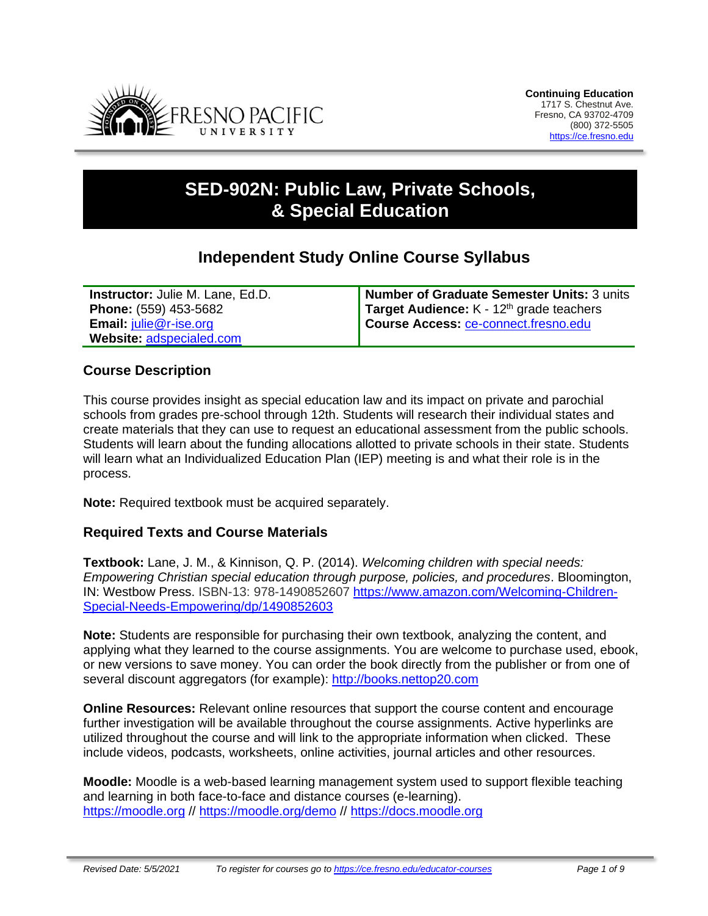

# **SED-902N: Public Law, Private Schools, & Special Education**

# **Independent Study Online Course Syllabus**

| <b>Instructor: Julie M. Lane, Ed.D.</b> | Number of Graduate Semester Units: 3 units  |
|-----------------------------------------|---------------------------------------------|
| <b>Phone: (559) 453-5682</b>            | Target Audience: $K - 12th$ grade teachers  |
| <b>Email: julie@r-ise.org</b>           | <b>Course Access: ce-connect.fresno.edu</b> |
| Website: adspecialed.com                |                                             |

# **Course Description**

This course provides insight as special education law and its impact on private and parochial schools from grades pre-school through 12th. Students will research their individual states and create materials that they can use to request an educational assessment from the public schools. Students will learn about the funding allocations allotted to private schools in their state. Students will learn what an Individualized Education Plan (IEP) meeting is and what their role is in the process.

**Note:** Required textbook must be acquired separately.

#### **Required Texts and Course Materials**

**Textbook:** Lane, J. M., & Kinnison, Q. P. (2014). *Welcoming children with special needs: Empowering Christian special education through purpose, policies, and procedures*. Bloomington, IN: Westbow Press. ISBN-13: 978-1490852607 [https://www.amazon.com/Welcoming-Children-](https://www.amazon.com/Welcoming-Children-Special-Needs-Empowering/dp/1490852603)[Special-Needs-Empowering/dp/1490852603](https://www.amazon.com/Welcoming-Children-Special-Needs-Empowering/dp/1490852603)

**Note:** Students are responsible for purchasing their own textbook, analyzing the content, and applying what they learned to the course assignments. You are welcome to purchase used, ebook, or new versions to save money. You can order the book directly from the publisher or from one of several discount aggregators (for example): [http://books.nettop20.com](http://books.nettop20.com/)

**Online Resources:** Relevant online resources that support the course content and encourage further investigation will be available throughout the course assignments. Active hyperlinks are utilized throughout the course and will link to the appropriate information when clicked. These include videos, podcasts, worksheets, online activities, journal articles and other resources.

**Moodle:** Moodle is a web-based learning management system used to support flexible teaching and learning in both face-to-face and distance courses (e-learning). [https://moodle.org](https://moodle.org/) // <https://moodle.org/demo> // [https://docs.moodle.org](https://docs.moodle.org/)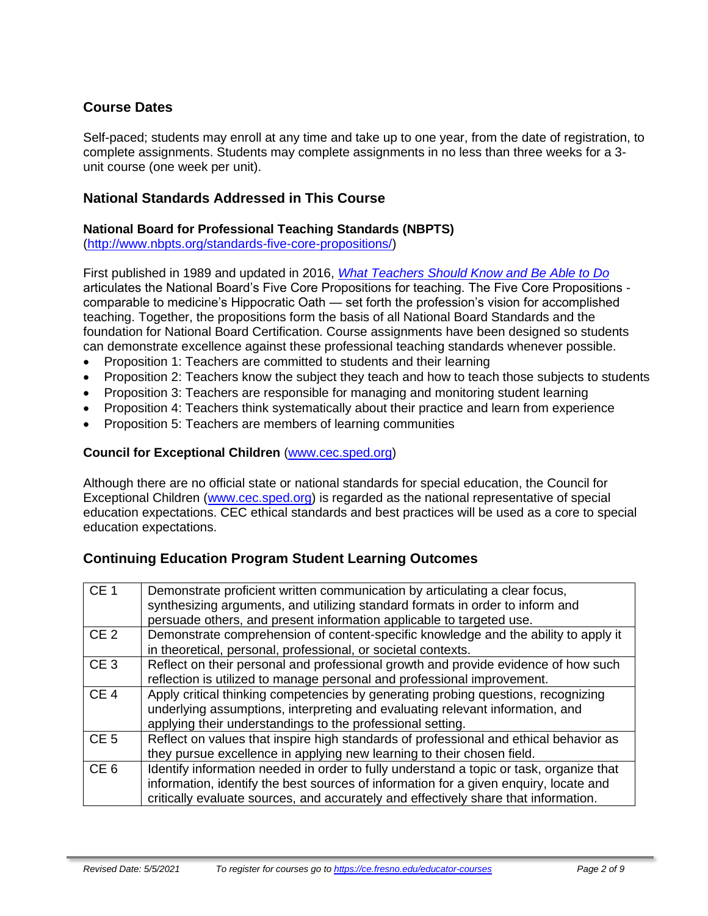# **Course Dates**

Self-paced; students may enroll at any time and take up to one year, from the date of registration, to complete assignments. Students may complete assignments in no less than three weeks for a 3 unit course (one week per unit).

### **National Standards Addressed in This Course**

# **National Board for Professional Teaching Standards (NBPTS)**

[\(http://www.nbpts.org/standards-five-core-propositions/\)](http://www.nbpts.org/standards-five-core-propositions/)

First published in 1989 and updated in 2016, *[What Teachers Should Know and Be Able to Do](http://www.accomplishedteacher.org/)* articulates the National Board's Five Core Propositions for teaching. The Five Core Propositions comparable to medicine's Hippocratic Oath — set forth the profession's vision for accomplished teaching. Together, the propositions form the basis of all National Board Standards and the foundation for National Board Certification. Course assignments have been designed so students can demonstrate excellence against these professional teaching standards whenever possible.

- Proposition 1: Teachers are committed to students and their learning
- Proposition 2: Teachers know the subject they teach and how to teach those subjects to students
- Proposition 3: Teachers are responsible for managing and monitoring student learning
- Proposition 4: Teachers think systematically about their practice and learn from experience
- Proposition 5: Teachers are members of learning communities

#### **Council for Exceptional Children** [\(www.cec.sped.org\)](http://www.cec.sped.org/)

Although there are no official state or national standards for special education, the Council for Exceptional Children [\(www.cec.sped.org\)](http://www.cec.sped.org/) is regarded as the national representative of special education expectations. CEC ethical standards and best practices will be used as a core to special education expectations.

# **Continuing Education Program Student Learning Outcomes**

| CE <sub>1</sub> | Demonstrate proficient written communication by articulating a clear focus,<br>synthesizing arguments, and utilizing standard formats in order to inform and<br>persuade others, and present information applicable to targeted use.                                    |
|-----------------|-------------------------------------------------------------------------------------------------------------------------------------------------------------------------------------------------------------------------------------------------------------------------|
| CE <sub>2</sub> | Demonstrate comprehension of content-specific knowledge and the ability to apply it<br>in theoretical, personal, professional, or societal contexts.                                                                                                                    |
| CE <sub>3</sub> | Reflect on their personal and professional growth and provide evidence of how such<br>reflection is utilized to manage personal and professional improvement.                                                                                                           |
| CE <sub>4</sub> | Apply critical thinking competencies by generating probing questions, recognizing<br>underlying assumptions, interpreting and evaluating relevant information, and<br>applying their understandings to the professional setting.                                        |
| CE <sub>5</sub> | Reflect on values that inspire high standards of professional and ethical behavior as<br>they pursue excellence in applying new learning to their chosen field.                                                                                                         |
| CE <sub>6</sub> | Identify information needed in order to fully understand a topic or task, organize that<br>information, identify the best sources of information for a given enquiry, locate and<br>critically evaluate sources, and accurately and effectively share that information. |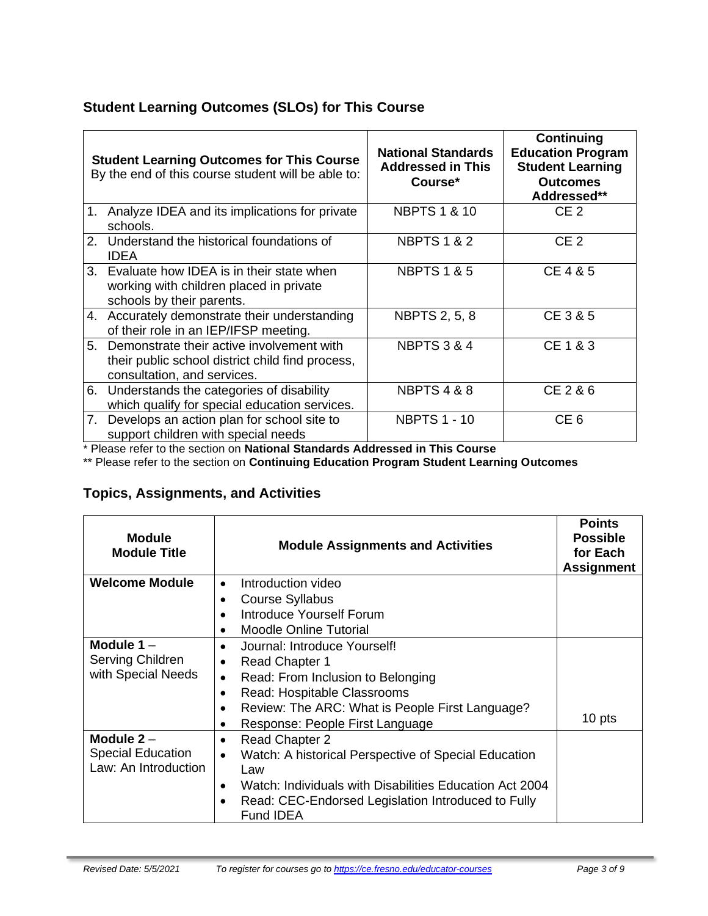# **Student Learning Outcomes (SLOs) for This Course**

|    | <b>Student Learning Outcomes for This Course</b><br>By the end of this course student will be able to:                       | <b>National Standards</b><br><b>Addressed in This</b><br>Course* | <b>Continuing</b><br><b>Education Program</b><br><b>Student Learning</b><br><b>Outcomes</b><br>Addressed** |
|----|------------------------------------------------------------------------------------------------------------------------------|------------------------------------------------------------------|------------------------------------------------------------------------------------------------------------|
| 1. | Analyze IDEA and its implications for private<br>schools.                                                                    | <b>NBPTS 1 &amp; 10</b>                                          | CE <sub>2</sub>                                                                                            |
| 2. | Understand the historical foundations of<br><b>IDEA</b>                                                                      | <b>NBPTS 1 &amp; 2</b>                                           | CE <sub>2</sub>                                                                                            |
|    | 3. Evaluate how IDEA is in their state when<br>working with children placed in private<br>schools by their parents.          | <b>NBPTS 1 &amp; 5</b>                                           | CE 4 & 5                                                                                                   |
|    | 4. Accurately demonstrate their understanding<br>of their role in an IEP/IFSP meeting.                                       | <b>NBPTS 2, 5, 8</b>                                             | CE 3 & 5                                                                                                   |
| 5. | Demonstrate their active involvement with<br>their public school district child find process,<br>consultation, and services. | <b>NBPTS 3 &amp; 4</b>                                           | CE 1 & 3                                                                                                   |
|    | 6. Understands the categories of disability<br>which qualify for special education services.                                 | <b>NBPTS 4 &amp; 8</b>                                           | CE 2 & 6                                                                                                   |
|    | 7. Develops an action plan for school site to<br>support children with special needs                                         | <b>NBPTS 1 - 10</b>                                              | CE <sub>6</sub>                                                                                            |

\* Please refer to the section on **National Standards Addressed in This Course**

\*\* Please refer to the section on **Continuing Education Program Student Learning Outcomes**

# **Topics, Assignments, and Activities**

| <b>Module</b><br><b>Module Title</b> | <b>Module Assignments and Activities</b>                             | <b>Points</b><br><b>Possible</b><br>for Each<br><b>Assignment</b> |
|--------------------------------------|----------------------------------------------------------------------|-------------------------------------------------------------------|
| <b>Welcome Module</b>                | Introduction video<br>$\bullet$                                      |                                                                   |
|                                      | <b>Course Syllabus</b>                                               |                                                                   |
|                                      | Introduce Yourself Forum                                             |                                                                   |
|                                      | <b>Moodle Online Tutorial</b>                                        |                                                                   |
| Module $1 -$                         | Journal: Introduce Yourself!<br>$\bullet$                            |                                                                   |
| Serving Children                     | <b>Read Chapter 1</b>                                                |                                                                   |
| with Special Needs                   | Read: From Inclusion to Belonging<br>٠                               |                                                                   |
|                                      | Read: Hospitable Classrooms<br>$\bullet$                             |                                                                   |
|                                      | Review: The ARC: What is People First Language?                      |                                                                   |
|                                      | Response: People First Language                                      | 10 pts                                                            |
| Module $2 -$                         | Read Chapter 2<br>٠                                                  |                                                                   |
| <b>Special Education</b>             | Watch: A historical Perspective of Special Education<br>$\bullet$    |                                                                   |
| Law: An Introduction                 | Law                                                                  |                                                                   |
|                                      | Watch: Individuals with Disabilities Education Act 2004<br>$\bullet$ |                                                                   |
|                                      | Read: CEC-Endorsed Legislation Introduced to Fully<br>Fund IDEA      |                                                                   |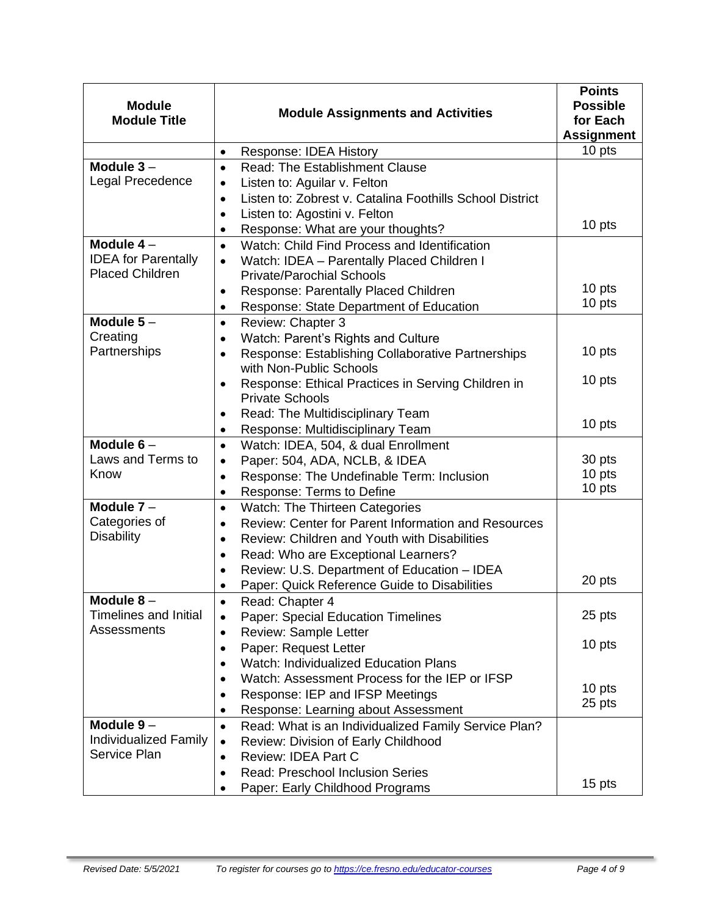| <b>Module</b>                                        | <b>Module Assignments and Activities</b>                                                    | <b>Points</b><br><b>Possible</b> |
|------------------------------------------------------|---------------------------------------------------------------------------------------------|----------------------------------|
| <b>Module Title</b>                                  |                                                                                             | for Each<br><b>Assignment</b>    |
|                                                      | Response: IDEA History<br>$\bullet$                                                         | 10 pts                           |
| Module $3-$                                          | <b>Read: The Establishment Clause</b><br>$\bullet$                                          |                                  |
| Legal Precedence                                     | Listen to: Aguilar v. Felton<br>$\bullet$                                                   |                                  |
|                                                      | Listen to: Zobrest v. Catalina Foothills School District<br>$\bullet$                       |                                  |
|                                                      | Listen to: Agostini v. Felton<br>$\bullet$                                                  |                                  |
|                                                      | Response: What are your thoughts?<br>٠                                                      | 10 pts                           |
| Module $4-$                                          | Watch: Child Find Process and Identification<br>$\bullet$                                   |                                  |
| <b>IDEA</b> for Parentally<br><b>Placed Children</b> | Watch: IDEA - Parentally Placed Children I<br>$\bullet$<br><b>Private/Parochial Schools</b> |                                  |
|                                                      | Response: Parentally Placed Children                                                        | 10 pts                           |
|                                                      | $\bullet$<br>Response: State Department of Education                                        | 10 pts                           |
| Module $5-$                                          | ٠<br>Review: Chapter 3<br>$\bullet$                                                         |                                  |
| Creating                                             | Watch: Parent's Rights and Culture                                                          |                                  |
| Partnerships                                         | $\bullet$<br>Response: Establishing Collaborative Partnerships<br>$\bullet$                 | 10 pts                           |
|                                                      | with Non-Public Schools                                                                     |                                  |
|                                                      | Response: Ethical Practices in Serving Children in<br>$\bullet$                             | 10 pts                           |
|                                                      | <b>Private Schools</b>                                                                      |                                  |
|                                                      | Read: The Multidisciplinary Team<br>$\bullet$                                               |                                  |
|                                                      | Response: Multidisciplinary Team<br>$\bullet$                                               | 10 pts                           |
| Module $6-$                                          | Watch: IDEA, 504, & dual Enrollment<br>$\bullet$                                            |                                  |
| Laws and Terms to                                    | Paper: 504, ADA, NCLB, & IDEA<br>$\bullet$                                                  | 30 pts                           |
| Know                                                 | Response: The Undefinable Term: Inclusion<br>$\bullet$                                      | 10 pts                           |
|                                                      | Response: Terms to Define<br>$\bullet$                                                      | 10 pts                           |
| Module $7 -$                                         | Watch: The Thirteen Categories<br>$\bullet$                                                 |                                  |
| Categories of                                        | Review: Center for Parent Information and Resources<br>$\bullet$                            |                                  |
| <b>Disability</b>                                    | Review: Children and Youth with Disabilities<br>$\bullet$                                   |                                  |
|                                                      | Read: Who are Exceptional Learners?<br>$\bullet$                                            |                                  |
|                                                      | Review: U.S. Department of Education - IDEA<br>$\bullet$                                    |                                  |
|                                                      | Paper: Quick Reference Guide to Disabilities<br>$\bullet$                                   | 20 pts                           |
| Module 8                                             | Read: Chapter 4                                                                             |                                  |
| <b>Timelines and Initial</b>                         | Paper: Special Education Timelines<br>٠                                                     | 25 pts                           |
| Assessments                                          | Review: Sample Letter<br>$\bullet$                                                          |                                  |
|                                                      | Paper: Request Letter<br>$\bullet$                                                          | 10 pts                           |
|                                                      | <b>Watch: Individualized Education Plans</b>                                                |                                  |
|                                                      | Watch: Assessment Process for the IEP or IFSP                                               | 10 pts                           |
|                                                      | Response: IEP and IFSP Meetings                                                             | 25 pts                           |
| Module $9-$                                          | Response: Learning about Assessment<br>$\bullet$                                            |                                  |
| <b>Individualized Family</b>                         | Read: What is an Individualized Family Service Plan?<br>$\bullet$                           |                                  |
| Service Plan                                         | Review: Division of Early Childhood<br>٠<br>Review: IDEA Part C<br>$\bullet$                |                                  |
|                                                      | <b>Read: Preschool Inclusion Series</b><br>$\bullet$                                        |                                  |
|                                                      | Paper: Early Childhood Programs                                                             | 15 pts                           |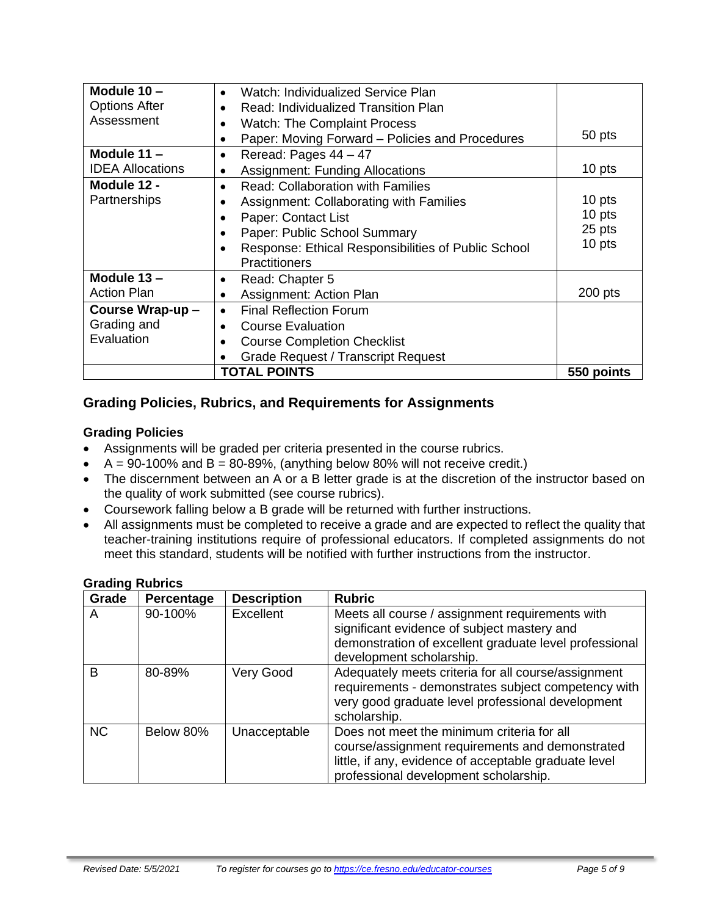| Module 10 -                                         | Watch: Individualized Service Plan<br>$\bullet$               |            |
|-----------------------------------------------------|---------------------------------------------------------------|------------|
| <b>Options After</b>                                | Read: Individualized Transition Plan                          |            |
| Assessment                                          | <b>Watch: The Complaint Process</b>                           |            |
|                                                     | Paper: Moving Forward – Policies and Procedures               | 50 pts     |
| Module 11 -                                         | Reread: Pages 44 - 47<br>$\bullet$                            |            |
| <b>IDEA Allocations</b>                             | 10 pts<br><b>Assignment: Funding Allocations</b><br>$\bullet$ |            |
| Module 12 -                                         | <b>Read: Collaboration with Families</b><br>$\bullet$         |            |
| Partnerships                                        | Assignment: Collaborating with Families                       | 10 pts     |
|                                                     | Paper: Contact List                                           | 10 pts     |
|                                                     | Paper: Public School Summary                                  | 25 pts     |
| Response: Ethical Responsibilities of Public School |                                                               | 10 pts     |
|                                                     | <b>Practitioners</b>                                          |            |
| Module $13 -$                                       | Read: Chapter 5<br>٠                                          |            |
| <b>Action Plan</b>                                  | Assignment: Action Plan<br>$\bullet$                          | $200$ pts  |
| Course Wrap-up -                                    | <b>Final Reflection Forum</b><br>$\bullet$                    |            |
| Grading and                                         | <b>Course Evaluation</b>                                      |            |
| Evaluation                                          | <b>Course Completion Checklist</b>                            |            |
|                                                     | <b>Grade Request / Transcript Request</b>                     |            |
|                                                     | <b>TOTAL POINTS</b>                                           | 550 points |

# **Grading Policies, Rubrics, and Requirements for Assignments**

#### **Grading Policies**

- Assignments will be graded per criteria presented in the course rubrics.
- $A = 90-100\%$  and  $B = 80-89\%$ , (anything below 80% will not receive credit.)
- The discernment between an A or a B letter grade is at the discretion of the instructor based on the quality of work submitted (see course rubrics).
- Coursework falling below a B grade will be returned with further instructions.
- All assignments must be completed to receive a grade and are expected to reflect the quality that teacher-training institutions require of professional educators. If completed assignments do not meet this standard, students will be notified with further instructions from the instructor.

| .<br>Grade | Percentage | <b>Description</b> | <b>Rubric</b>                                                                                                                                                                                   |
|------------|------------|--------------------|-------------------------------------------------------------------------------------------------------------------------------------------------------------------------------------------------|
| A          | 90-100%    | Excellent          | Meets all course / assignment requirements with<br>significant evidence of subject mastery and<br>demonstration of excellent graduate level professional<br>development scholarship.            |
| B          | 80-89%     | <b>Very Good</b>   | Adequately meets criteria for all course/assignment<br>requirements - demonstrates subject competency with<br>very good graduate level professional development<br>scholarship.                 |
| <b>NC</b>  | Below 80%  | Unacceptable       | Does not meet the minimum criteria for all<br>course/assignment requirements and demonstrated<br>little, if any, evidence of acceptable graduate level<br>professional development scholarship. |

#### **Grading Rubrics**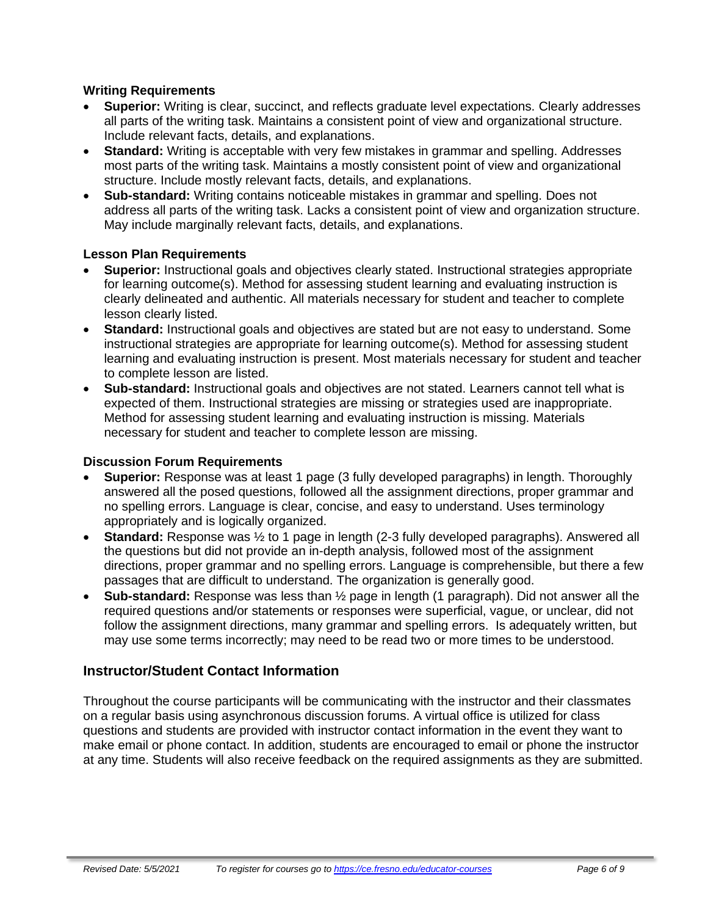#### **Writing Requirements**

- **Superior:** Writing is clear, succinct, and reflects graduate level expectations. Clearly addresses all parts of the writing task. Maintains a consistent point of view and organizational structure. Include relevant facts, details, and explanations.
- **Standard:** Writing is acceptable with very few mistakes in grammar and spelling. Addresses most parts of the writing task. Maintains a mostly consistent point of view and organizational structure. Include mostly relevant facts, details, and explanations.
- **Sub-standard:** Writing contains noticeable mistakes in grammar and spelling. Does not address all parts of the writing task. Lacks a consistent point of view and organization structure. May include marginally relevant facts, details, and explanations.

#### **Lesson Plan Requirements**

- **Superior:** Instructional goals and objectives clearly stated. Instructional strategies appropriate for learning outcome(s). Method for assessing student learning and evaluating instruction is clearly delineated and authentic. All materials necessary for student and teacher to complete lesson clearly listed.
- **Standard:** Instructional goals and objectives are stated but are not easy to understand. Some instructional strategies are appropriate for learning outcome(s). Method for assessing student learning and evaluating instruction is present. Most materials necessary for student and teacher to complete lesson are listed.
- **Sub-standard:** Instructional goals and objectives are not stated. Learners cannot tell what is expected of them. Instructional strategies are missing or strategies used are inappropriate. Method for assessing student learning and evaluating instruction is missing. Materials necessary for student and teacher to complete lesson are missing.

#### **Discussion Forum Requirements**

- **Superior:** Response was at least 1 page (3 fully developed paragraphs) in length. Thoroughly answered all the posed questions, followed all the assignment directions, proper grammar and no spelling errors. Language is clear, concise, and easy to understand. Uses terminology appropriately and is logically organized.
- **Standard:** Response was ½ to 1 page in length (2-3 fully developed paragraphs). Answered all the questions but did not provide an in-depth analysis, followed most of the assignment directions, proper grammar and no spelling errors. Language is comprehensible, but there a few passages that are difficult to understand. The organization is generally good.
- **Sub-standard:** Response was less than ½ page in length (1 paragraph). Did not answer all the required questions and/or statements or responses were superficial, vague, or unclear, did not follow the assignment directions, many grammar and spelling errors. Is adequately written, but may use some terms incorrectly; may need to be read two or more times to be understood.

# **Instructor/Student Contact Information**

Throughout the course participants will be communicating with the instructor and their classmates on a regular basis using asynchronous discussion forums. A virtual office is utilized for class questions and students are provided with instructor contact information in the event they want to make email or phone contact. In addition, students are encouraged to email or phone the instructor at any time. Students will also receive feedback on the required assignments as they are submitted.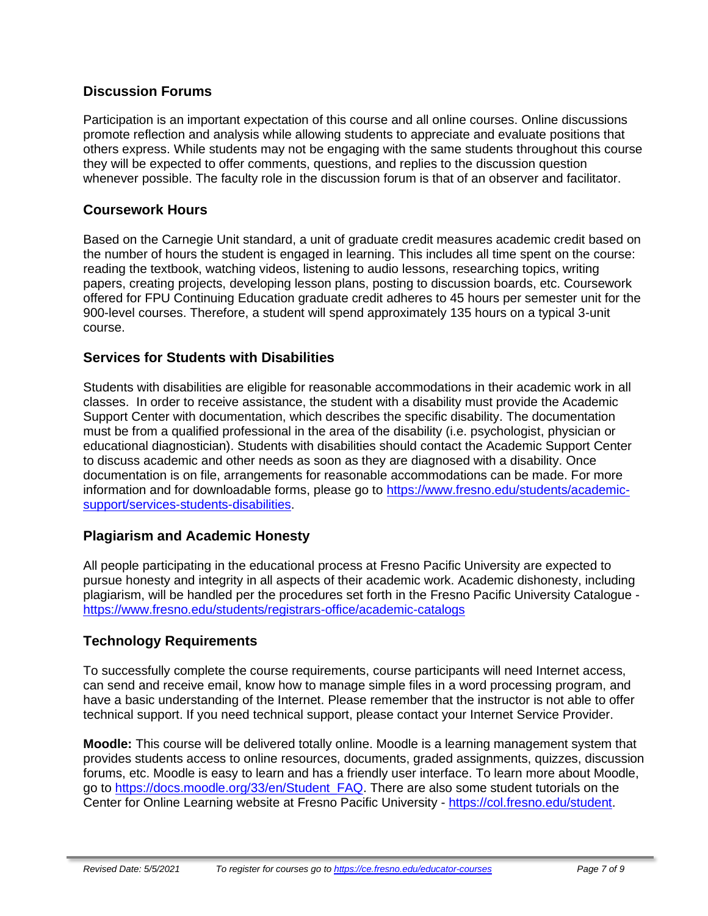# **Discussion Forums**

Participation is an important expectation of this course and all online courses. Online discussions promote reflection and analysis while allowing students to appreciate and evaluate positions that others express. While students may not be engaging with the same students throughout this course they will be expected to offer comments, questions, and replies to the discussion question whenever possible. The faculty role in the discussion forum is that of an observer and facilitator.

# **Coursework Hours**

Based on the Carnegie Unit standard, a unit of graduate credit measures academic credit based on the number of hours the student is engaged in learning. This includes all time spent on the course: reading the textbook, watching videos, listening to audio lessons, researching topics, writing papers, creating projects, developing lesson plans, posting to discussion boards, etc. Coursework offered for FPU Continuing Education graduate credit adheres to 45 hours per semester unit for the 900-level courses. Therefore, a student will spend approximately 135 hours on a typical 3-unit course.

# **Services for Students with Disabilities**

Students with disabilities are eligible for reasonable accommodations in their academic work in all classes. In order to receive assistance, the student with a disability must provide the Academic Support Center with documentation, which describes the specific disability. The documentation must be from a qualified professional in the area of the disability (i.e. psychologist, physician or educational diagnostician). Students with disabilities should contact the Academic Support Center to discuss academic and other needs as soon as they are diagnosed with a disability. Once documentation is on file, arrangements for reasonable accommodations can be made. For more information and for downloadable forms, please go to [https://www.fresno.edu/students/academic](https://www.fresno.edu/students/academic-support/services-students-disabilities)[support/services-students-disabilities.](https://www.fresno.edu/students/academic-support/services-students-disabilities)

# **Plagiarism and Academic Honesty**

All people participating in the educational process at Fresno Pacific University are expected to pursue honesty and integrity in all aspects of their academic work. Academic dishonesty, including plagiarism, will be handled per the procedures set forth in the Fresno Pacific University Catalogue <https://www.fresno.edu/students/registrars-office/academic-catalogs>

# **Technology Requirements**

To successfully complete the course requirements, course participants will need Internet access, can send and receive email, know how to manage simple files in a word processing program, and have a basic understanding of the Internet. Please remember that the instructor is not able to offer technical support. If you need technical support, please contact your Internet Service Provider.

**Moodle:** This course will be delivered totally online. Moodle is a learning management system that provides students access to online resources, documents, graded assignments, quizzes, discussion forums, etc. Moodle is easy to learn and has a friendly user interface. To learn more about Moodle, go to [https://docs.moodle.org/33/en/Student\\_FAQ.](https://docs.moodle.org/33/en/Student_FAQ) There are also some student tutorials on the Center for Online Learning website at Fresno Pacific University - [https://col.fresno.edu/student.](https://col.fresno.edu/student)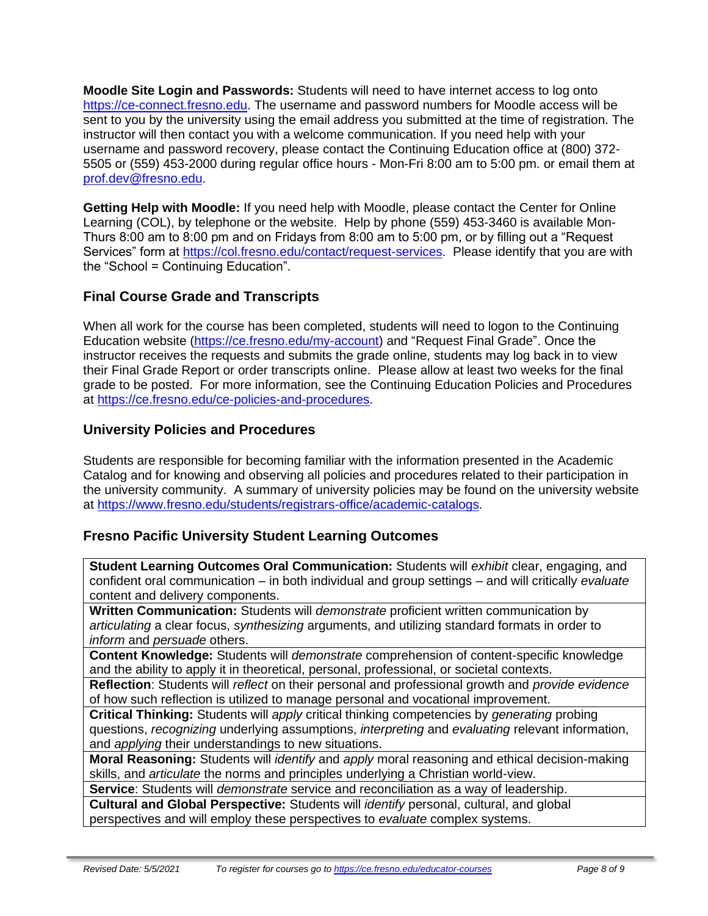**Moodle Site Login and Passwords:** Students will need to have internet access to log onto [https://ce-connect.fresno.edu.](https://ce-connect.fresno.edu/) The username and password numbers for Moodle access will be sent to you by the university using the email address you submitted at the time of registration. The instructor will then contact you with a welcome communication. If you need help with your username and password recovery, please contact the Continuing Education office at (800) 372- 5505 or (559) 453-2000 during regular office hours - Mon-Fri 8:00 am to 5:00 pm. or email them at [prof.dev@fresno.edu.](mailto:prof.dev@fresno.edu)

**Getting Help with Moodle:** If you need help with Moodle, please contact the Center for Online Learning (COL), by telephone or the website. Help by phone (559) 453-3460 is available Mon-Thurs 8:00 am to 8:00 pm and on Fridays from 8:00 am to 5:00 pm, or by filling out a "Request Services" form at [https://col.fresno.edu/contact/request-services.](https://col.fresno.edu/contact/request-services) Please identify that you are with the "School = Continuing Education".

# **Final Course Grade and Transcripts**

When all work for the course has been completed, students will need to logon to the Continuing Education website [\(https://ce.fresno.edu/my-account\)](https://ce.fresno.edu/my-account) and "Request Final Grade". Once the instructor receives the requests and submits the grade online, students may log back in to view their Final Grade Report or order transcripts online. Please allow at least two weeks for the final grade to be posted. For more information, see the Continuing Education Policies and Procedures at [https://ce.fresno.edu/ce-policies-and-procedures.](https://ce.fresno.edu/ce-policies-and-procedures)

# **University Policies and Procedures**

Students are responsible for becoming familiar with the information presented in the Academic Catalog and for knowing and observing all policies and procedures related to their participation in the university community. A summary of university policies may be found on the university website at [https://www.fresno.edu/students/registrars-office/academic-catalogs.](https://www.fresno.edu/students/registrars-office/academic-catalogs)

# **Fresno Pacific University Student Learning Outcomes**

**Student Learning Outcomes Oral Communication:** Students will *exhibit* clear, engaging, and confident oral communication – in both individual and group settings – and will critically *evaluate*  content and delivery components.

**Written Communication:** Students will *demonstrate* proficient written communication by *articulating* a clear focus, *synthesizing* arguments, and utilizing standard formats in order to *inform* and *persuade* others.

**Content Knowledge:** Students will *demonstrate* comprehension of content-specific knowledge and the ability to apply it in theoretical, personal, professional, or societal contexts.

**Reflection**: Students will *reflect* on their personal and professional growth and *provide evidence*  of how such reflection is utilized to manage personal and vocational improvement.

**Critical Thinking:** Students will *apply* critical thinking competencies by *generating* probing questions, *recognizing* underlying assumptions, *interpreting* and *evaluating* relevant information, and *applying* their understandings to new situations.

**Moral Reasoning:** Students will *identify* and *apply* moral reasoning and ethical decision-making skills, and *articulate* the norms and principles underlying a Christian world-view.

**Service**: Students will *demonstrate* service and reconciliation as a way of leadership.

**Cultural and Global Perspective:** Students will *identify* personal, cultural, and global perspectives and will employ these perspectives to *evaluate* complex systems.